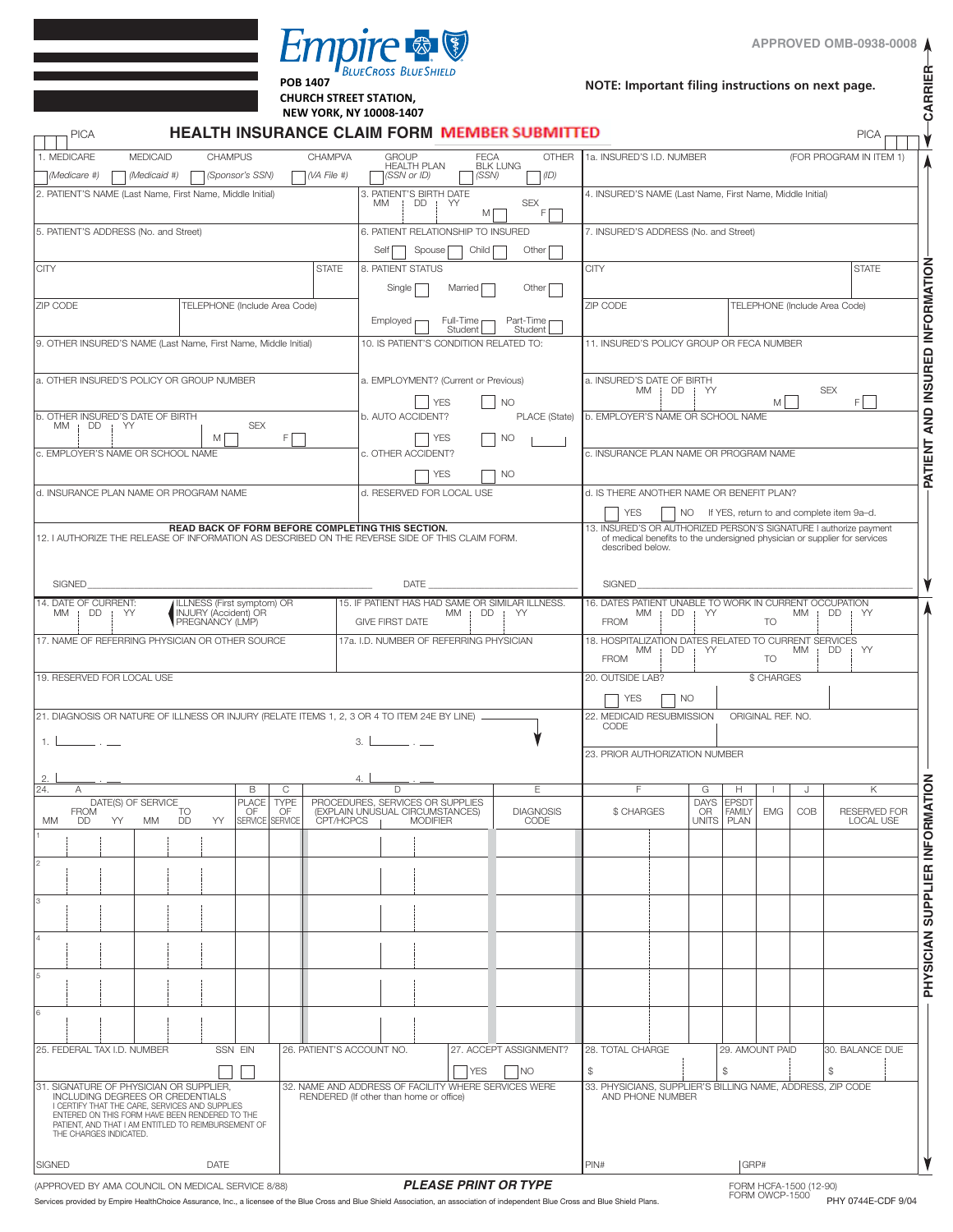

| енирне в<br><b>BLUECROSS BLUESHIELD</b><br><b>POB 1407</b><br><b>CHURCH STREET STATION,</b><br>NEW YORK, NY 10008-1407<br>HEALTH INSURANCE CLAIM FORM MEMBER SUBMITTED                                                      |                                                                                                                                      |                               |                    |                   |                                                   |                                                                     |                                       |             |                                                      | NOTE: Important filing instructions on next page.                                                                                         |                                       |                    |                                             |     |                                                                           |  |  |
|-----------------------------------------------------------------------------------------------------------------------------------------------------------------------------------------------------------------------------|--------------------------------------------------------------------------------------------------------------------------------------|-------------------------------|--------------------|-------------------|---------------------------------------------------|---------------------------------------------------------------------|---------------------------------------|-------------|------------------------------------------------------|-------------------------------------------------------------------------------------------------------------------------------------------|---------------------------------------|--------------------|---------------------------------------------|-----|---------------------------------------------------------------------------|--|--|
| <b>PICA</b>                                                                                                                                                                                                                 |                                                                                                                                      |                               |                    |                   |                                                   |                                                                     |                                       |             |                                                      |                                                                                                                                           |                                       |                    |                                             |     | <b>PICA</b>                                                               |  |  |
| 1. MEDICARE                                                                                                                                                                                                                 | <b>MEDICAID</b>                                                                                                                      | <b>CHAMPUS</b>                |                    |                   | CHAMPVA                                           | <b>GROUP</b>                                                        | <b>HEALTH PLAN</b>                    | <b>FECA</b> | <b>OTHER</b><br><b>BLK LUNG</b>                      | 1a. INSURED'S I.D. NUMBER                                                                                                                 |                                       |                    |                                             |     | (FOR PROGRAM IN ITEM 1)                                                   |  |  |
| (Medicare #)                                                                                                                                                                                                                | (Medicaid #)                                                                                                                         |                               | (Sponsor's SSN)    |                   | $(A \text{ File } #)$                             |                                                                     | (SSN or ID)                           | (SSN)       | (1D)                                                 |                                                                                                                                           |                                       |                    |                                             |     |                                                                           |  |  |
| 2. PATIENT'S NAME (Last Name, First Name, Middle Initial)                                                                                                                                                                   |                                                                                                                                      |                               |                    |                   |                                                   | МM                                                                  | 3. PATIENT'S BIRTH DATE<br>DD<br>i YY | M           | <b>SEX</b><br>FI                                     | 4. INSURED'S NAME (Last Name, First Name, Middle Initial)                                                                                 |                                       |                    |                                             |     |                                                                           |  |  |
| 5. PATIENT'S ADDRESS (No. and Street)                                                                                                                                                                                       |                                                                                                                                      |                               |                    |                   |                                                   |                                                                     | 6. PATIENT RELATIONSHIP TO INSURED    |             |                                                      | 7. INSURED'S ADDRESS (No. and Street)                                                                                                     |                                       |                    |                                             |     |                                                                           |  |  |
|                                                                                                                                                                                                                             |                                                                                                                                      |                               |                    |                   |                                                   | Self                                                                | Spouse                                | Child       | Other                                                |                                                                                                                                           |                                       |                    |                                             |     |                                                                           |  |  |
| <b>CITY</b>                                                                                                                                                                                                                 |                                                                                                                                      |                               |                    |                   | <b>STATE</b>                                      | 8. PATIENT STATUS                                                   |                                       |             |                                                      | <b>CITY</b>                                                                                                                               |                                       |                    |                                             |     | <b>STATE</b>                                                              |  |  |
|                                                                                                                                                                                                                             |                                                                                                                                      |                               |                    |                   |                                                   | Single                                                              |                                       | Married     | Other                                                |                                                                                                                                           |                                       |                    |                                             |     |                                                                           |  |  |
| ZIP CODE                                                                                                                                                                                                                    |                                                                                                                                      | TELEPHONE (Include Area Code) |                    |                   |                                                   | Employed                                                            |                                       | Full-Time   | Part-Time                                            | ZIP CODE                                                                                                                                  |                                       |                    | TELEPHONE (Include Area Code)               |     |                                                                           |  |  |
| 9. OTHER INSURED'S NAME (Last Name, First Name, Middle Initial)                                                                                                                                                             |                                                                                                                                      |                               |                    |                   |                                                   |                                                                     |                                       | Student     | Student<br>10. IS PATIENT'S CONDITION RELATED TO:    | 11. INSURED'S POLICY GROUP OR FECA NUMBER                                                                                                 |                                       |                    |                                             |     |                                                                           |  |  |
|                                                                                                                                                                                                                             |                                                                                                                                      |                               |                    |                   |                                                   |                                                                     |                                       |             |                                                      |                                                                                                                                           |                                       |                    |                                             |     |                                                                           |  |  |
| a. OTHER INSURED'S POLICY OR GROUP NUMBER                                                                                                                                                                                   |                                                                                                                                      |                               |                    |                   |                                                   |                                                                     |                                       |             |                                                      | a. INSURED'S DATE OF BIRTH                                                                                                                |                                       |                    |                                             |     |                                                                           |  |  |
|                                                                                                                                                                                                                             |                                                                                                                                      |                               |                    |                   |                                                   | a. EMPLOYMENT? (Current or Previous)<br><b>YES</b><br><b>NO</b>     |                                       |             |                                                      |                                                                                                                                           | MM   DD   YY<br><b>SEX</b><br>F.<br>M |                    |                                             |     |                                                                           |  |  |
| b. OTHER INSURED'S DATE OF BIRTH<br><b>MM</b><br>$DD$ ; $YY$                                                                                                                                                                |                                                                                                                                      |                               | <b>SEX</b>         |                   |                                                   |                                                                     | b. AUTO ACCIDENT?                     |             | PLACE (State)                                        | b. EMPLOYER'S NAME OR SCHOOL NAME                                                                                                         |                                       |                    |                                             |     |                                                                           |  |  |
|                                                                                                                                                                                                                             |                                                                                                                                      | M                             |                    | F                 |                                                   |                                                                     | <b>YES</b>                            |             | <b>NO</b>                                            |                                                                                                                                           |                                       |                    |                                             |     |                                                                           |  |  |
| c. EMPLOYER'S NAME OR SCHOOL NAME                                                                                                                                                                                           |                                                                                                                                      |                               |                    |                   |                                                   |                                                                     | c. OTHER ACCIDENT?                    |             |                                                      | c. INSURANCE PLAN NAME OR PROGRAM NAME                                                                                                    |                                       |                    |                                             |     |                                                                           |  |  |
| d. INSURANCE PLAN NAME OR PROGRAM NAME                                                                                                                                                                                      |                                                                                                                                      |                               |                    |                   |                                                   |                                                                     | <b>YES</b>                            |             | <b>NO</b>                                            | d. IS THERE ANOTHER NAME OR BENEFIT PLAN?                                                                                                 |                                       |                    |                                             |     |                                                                           |  |  |
|                                                                                                                                                                                                                             |                                                                                                                                      |                               |                    |                   |                                                   |                                                                     | d. RESERVED FOR LOCAL USE             |             |                                                      | <b>YES</b>                                                                                                                                |                                       |                    |                                             |     | NO If YES, return to and complete item 9a-d.                              |  |  |
|                                                                                                                                                                                                                             |                                                                                                                                      |                               |                    |                   | READ BACK OF FORM BEFORE COMPLETING THIS SECTION. |                                                                     |                                       |             |                                                      |                                                                                                                                           |                                       |                    |                                             |     | 13. INSURED'S OR AUTHORIZED PERSON'S SIGNATURE I authorize payment        |  |  |
| 12. I AUTHORIZE THE RELEASE OF INFORMATION AS DESCRIBED ON THE REVERSE SIDE OF THIS CLAIM FORM.                                                                                                                             |                                                                                                                                      |                               |                    |                   |                                                   |                                                                     |                                       |             |                                                      | described below.                                                                                                                          |                                       |                    |                                             |     | of medical benefits to the undersigned physician or supplier for services |  |  |
|                                                                                                                                                                                                                             |                                                                                                                                      |                               |                    |                   |                                                   |                                                                     |                                       |             |                                                      |                                                                                                                                           |                                       |                    |                                             |     |                                                                           |  |  |
| <b>SIGNED</b><br><b>DATE</b>                                                                                                                                                                                                |                                                                                                                                      |                               |                    |                   |                                                   |                                                                     |                                       |             |                                                      | <b>SIGNED</b>                                                                                                                             |                                       |                    |                                             |     |                                                                           |  |  |
| 15. IF PATIENT HAS HAD SAME OR SIMILAR ILLNESS<br>14. DATE OF CURRENT:<br>ILLNESS (First symptom) OR<br><b>INJURY (Accident) OR</b><br>$DD$ : $YY$<br>DD.<br>MM<br>MM.<br>. YY<br>PREGNANCY (LMP)<br><b>GIVE FIRST DATE</b> |                                                                                                                                      |                               |                    |                   |                                                   |                                                                     |                                       |             |                                                      | 16. DATES PATIENT UNABLE TO WORK IN CURRENT OCCUPATION<br>МM<br>$DD$ : $YY$<br>МM<br>DD<br>YY<br>$\mathbf{r}$<br><b>FROM</b><br><b>TO</b> |                                       |                    |                                             |     |                                                                           |  |  |
| 17. NAME OF REFERRING PHYSICIAN OR OTHER SOURCE                                                                                                                                                                             |                                                                                                                                      |                               |                    |                   |                                                   | 17a. I.D. NUMBER OF REFERRING PHYSICIAN                             |                                       |             |                                                      | 18. HOSPITALIZATION DATES RELATED TO CURRENT SERVICES                                                                                     |                                       |                    |                                             |     |                                                                           |  |  |
|                                                                                                                                                                                                                             |                                                                                                                                      |                               |                    |                   |                                                   |                                                                     |                                       |             |                                                      | МM<br><b>FROM</b>                                                                                                                         | $DD$ ; $YY$                           |                    | <b>TO</b>                                   | МM  | DD<br>: YY                                                                |  |  |
| 19. RESERVED FOR LOCAL USE                                                                                                                                                                                                  |                                                                                                                                      |                               |                    |                   |                                                   |                                                                     |                                       |             |                                                      | 20. OUTSIDE LAB?                                                                                                                          |                                       |                    | \$ CHARGES                                  |     |                                                                           |  |  |
|                                                                                                                                                                                                                             |                                                                                                                                      |                               |                    |                   |                                                   |                                                                     |                                       |             |                                                      | <b>YES</b>                                                                                                                                | <b>NO</b>                             |                    |                                             |     |                                                                           |  |  |
| 21. DIAGNOSIS OR NATURE OF ILLNESS OR INJURY (RELATE ITEMS 1, 2, 3 OR 4 TO ITEM 24E BY LINE)                                                                                                                                |                                                                                                                                      |                               |                    |                   |                                                   |                                                                     |                                       |             |                                                      | 22. MEDICAID RESUBMISSION<br>CODE                                                                                                         |                                       |                    | ORIGINAL REF. NO.                           |     |                                                                           |  |  |
| 1. L                                                                                                                                                                                                                        |                                                                                                                                      |                               |                    |                   |                                                   | 3.1                                                                 | <u> Alban Alban A</u>                 |             |                                                      |                                                                                                                                           |                                       |                    |                                             |     |                                                                           |  |  |
|                                                                                                                                                                                                                             |                                                                                                                                      |                               |                    |                   |                                                   |                                                                     |                                       |             |                                                      | 23. PRIOR AUTHORIZATION NUMBER                                                                                                            |                                       |                    |                                             |     |                                                                           |  |  |
| 2.<br>24.<br>A                                                                                                                                                                                                              |                                                                                                                                      |                               | B                  | C                 |                                                   | 4.<br>D                                                             |                                       |             | E                                                    | F.                                                                                                                                        |                                       | G                  | H                                           | J   | Κ                                                                         |  |  |
| <b>FROM</b>                                                                                                                                                                                                                 | DATE(S) OF SERVICE                                                                                                                   | TO                            | <b>PLACE</b><br>OF | <b>TYPE</b><br>OF |                                                   | PROCEDURES, SERVICES OR SUPPLIES<br>(EXPLAIN UNUSUAL CIRCUMSTANCES) |                                       |             | <b>DIAGNOSIS</b>                                     | \$ CHARGES                                                                                                                                |                                       | <b>DAYS</b><br>OR. | <b>EPSDT</b><br><b>FAMILY</b><br><b>EMG</b> | COB | <b>RESERVED FOR</b>                                                       |  |  |
| МM<br>DD                                                                                                                                                                                                                    | DD<br>YY<br>МM                                                                                                                       | YY                            | SERVICE SERVICE    |                   | CPT/HCPCS                                         |                                                                     | <b>MODIFIER</b>                       |             | CODE                                                 |                                                                                                                                           |                                       | <b>UNITS</b>       | PLAN                                        |     | <b>LOCAL USE</b>                                                          |  |  |
|                                                                                                                                                                                                                             |                                                                                                                                      |                               |                    |                   |                                                   |                                                                     |                                       |             |                                                      |                                                                                                                                           |                                       |                    |                                             |     |                                                                           |  |  |
|                                                                                                                                                                                                                             |                                                                                                                                      |                               |                    |                   |                                                   |                                                                     |                                       |             |                                                      |                                                                                                                                           |                                       |                    |                                             |     |                                                                           |  |  |
| 3                                                                                                                                                                                                                           |                                                                                                                                      |                               |                    |                   |                                                   |                                                                     |                                       |             |                                                      |                                                                                                                                           |                                       |                    |                                             |     |                                                                           |  |  |
|                                                                                                                                                                                                                             |                                                                                                                                      |                               |                    |                   |                                                   |                                                                     |                                       |             |                                                      |                                                                                                                                           |                                       |                    |                                             |     |                                                                           |  |  |
| 4                                                                                                                                                                                                                           |                                                                                                                                      |                               |                    |                   |                                                   |                                                                     |                                       |             |                                                      |                                                                                                                                           |                                       |                    |                                             |     |                                                                           |  |  |
|                                                                                                                                                                                                                             |                                                                                                                                      |                               |                    |                   |                                                   |                                                                     |                                       |             |                                                      |                                                                                                                                           |                                       |                    |                                             |     |                                                                           |  |  |
| 5                                                                                                                                                                                                                           |                                                                                                                                      |                               |                    |                   |                                                   |                                                                     |                                       |             |                                                      |                                                                                                                                           |                                       |                    |                                             |     |                                                                           |  |  |
|                                                                                                                                                                                                                             |                                                                                                                                      |                               |                    |                   |                                                   |                                                                     |                                       |             |                                                      |                                                                                                                                           |                                       |                    |                                             |     |                                                                           |  |  |
| 6                                                                                                                                                                                                                           |                                                                                                                                      |                               |                    |                   |                                                   |                                                                     |                                       |             |                                                      |                                                                                                                                           |                                       |                    |                                             |     |                                                                           |  |  |
| 25. FEDERAL TAX I.D. NUMBER                                                                                                                                                                                                 |                                                                                                                                      |                               | SSN EIN            |                   | 26. PATIENT'S ACCOUNT NO.                         |                                                                     |                                       |             | 27. ACCEPT ASSIGNMENT?                               | 28. TOTAL CHARGE                                                                                                                          |                                       |                    | 29. AMOUNT PAID                             |     | 30. BALANCE DUE                                                           |  |  |
|                                                                                                                                                                                                                             |                                                                                                                                      |                               |                    |                   |                                                   |                                                                     |                                       | <b>YES</b>  | <b>NO</b>                                            | $$\mathbb{S}$$                                                                                                                            |                                       | \$                 |                                             |     | \$                                                                        |  |  |
| 31. SIGNATURE OF PHYSICIAN OR SUPPLIER,                                                                                                                                                                                     |                                                                                                                                      |                               |                    |                   |                                                   |                                                                     |                                       |             | 32. NAME AND ADDRESS OF FACILITY WHERE SERVICES WERE | 33. PHYSICIANS, SUPPLIER'S BILLING NAME, ADDRESS, ZIP CODE                                                                                |                                       |                    |                                             |     |                                                                           |  |  |
|                                                                                                                                                                                                                             | INCLUDING DEGREES OR CREDENTIALS<br>I CERTIFY THAT THE CARE, SERVICES AND SUPPLIES<br>ENTERED ON THIS FORM HAVE BEEN RENDERED TO THE |                               |                    |                   | RENDERED (If other than home or office)           |                                                                     |                                       |             |                                                      |                                                                                                                                           | AND PHONE NUMBER                      |                    |                                             |     |                                                                           |  |  |
| THE CHARGES INDICATED.                                                                                                                                                                                                      | PATIENT, AND THAT I AM ENTITLED TO REIMBURSEMENT OF                                                                                  |                               |                    |                   |                                                   |                                                                     |                                       |             |                                                      |                                                                                                                                           |                                       |                    |                                             |     |                                                                           |  |  |
|                                                                                                                                                                                                                             |                                                                                                                                      |                               |                    |                   |                                                   |                                                                     |                                       |             |                                                      |                                                                                                                                           |                                       |                    |                                             |     |                                                                           |  |  |
| SIGNED                                                                                                                                                                                                                      | DATE                                                                                                                                 |                               |                    |                   |                                                   |                                                                     |                                       |             |                                                      |                                                                                                                                           | GRP#<br>PIN#                          |                    |                                             |     |                                                                           |  |  |

(APPROVED BY AMA COUNCIL ON MEDICAL SERVICE 8/88) **PLEASE PRINT OR TYPE** Services provided by Empire HealthChoice Assurance, Inc., a licensee of the Blue Cross and Blue Shield Association, an association of independent Blue Cross and Blue Shield Plans.